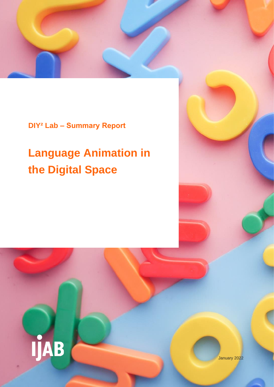**DIY² Lab – Summary Report**

# **Language Animation in the Digital Space**



January 2022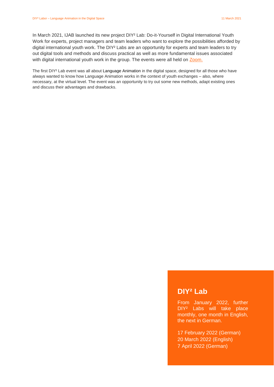In March 2021, IJAB launched its new project DIY² Lab: Do-it-Yourself in Digital International Youth Work for experts, project managers and team leaders who want to explore the possibilities afforded by digital international youth work. The DIY² Labs are an opportunity for experts and team leaders to try out digital tools and methods and discuss practical as well as more fundamental issues associated with digital international youth work in the group. The events were all held on [Zoom.](https://zoom.us/de-de/meetings.html)

The first DIY² Lab event was all about Language Animation in the digital space, designed for all those who have always wanted to know how Language Animation works in the context of youth exchanges – also, where necessary, at the virtual level. The event was an opportunity to try out some new methods, adapt existing ones and discuss their advantages and drawbacks.

# **DIY² Lab**

From January 2022, further DIY² Labs will take place monthly, one month in English, the next in German.

17 February 2022 (German) 20 March 2022 (English) 7 April 2022 (German)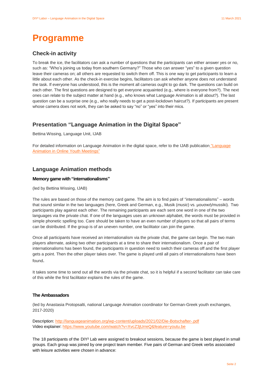# **Programme**

# **Check-in activity**

To break the ice, the facilitators can ask a number of questions that the participants can either answer yes or no, such as: "Who's joining us today from southern Germany?" Those who can answer "yes" to a given question leave their cameras on; all others are requested to switch them off. This is one way to get participants to learn a little about each other. As the check-in exercise begins, facilitators can ask whether anyone does not understand the task. If everyone has understood, this is the moment all cameras ought to go dark. The questions can build on each other. The first questions are designed to get everyone acquainted (e.g., where is everyone from?). The next ones can relate to the subject matter at hand (e.g., who knows what Language Animation is all about?). The last question can be a surprise one (e.g., who really needs to get a post-lockdown haircut?). If participants are present whose camera does not work, they can be asked to say "no" or "yes" into their mics.

# **Presentation "Language Animation in the Digital Space"**

Bettina Wissing, Language Unit, IJAB

For detailed information on Language Animation in the digital space, refer to the IJAB publication ["Language](https://ijab.de/bestellservice/language-animation-in-online-youth-meetings)  [Animation in Online Youth Meetings"](https://ijab.de/bestellservice/language-animation-in-online-youth-meetings)

### **Language Animation methods**

### **Memory game with "internationalisms"**

(led by Bettina Wissing, IJAB)

The rules are based on those of the memory card game. The aim is to find pairs of "internationalisms" – words that sound similar in the two languages (here, Greek and German, e.g., Musik (*music*) vs. μουσική/mussiki). Two participants play against each other. The remaining participants are each sent one word in one of the two languages via the private chat. If one of the languages uses an unknown alphabet, the words must be provided in simple phonetic spelling too. Care should be taken to have an even number of players so that all pairs of terms can be distributed. If the group is of an uneven number, one facilitator can join the game.

Once all participants have received an internationalism via the private chat, the game can begin. The two main players alternate, asking two other participants at a time to share their internationalism. Once a pair of internationalisms has been found, the participants in question need to switch their cameras off and the first player gets a point. Then the other player takes over. The game is played until all pairs of internationalisms have been found.

It takes some time to send out all the words via the private chat, so it is helpful if a second facilitator can take care of this while the first facilitator explains the rules of the game.

#### **The Ambassadors**

(led by Anastasia Protopsalti, national Language Animation coordinator for German-Greek youth exchanges, 2017-2020)

Description: <http://languageanimation.org/wp-content/uploads/2021/02/Die-Botschafter-.pdf> Video explainer: <https://www.youtube.com/watch?v=XvcZ3jUrreQ&feature=youtu.be>

The 18 participants of the DIY² Lab were assigned to breakout sessions, because the game is best played in small groups. Each group was joined by one project team member. Five pairs of German and Greek verbs associated with leisure activities were chosen in advance: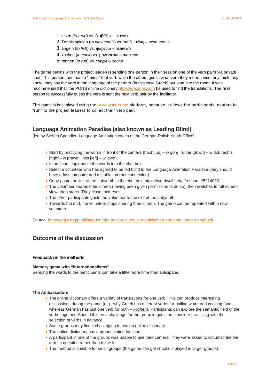- 1. lesen (*to read*) vs. διαβάζω thiavaso
- 2. Tennis spielen (*to play tennis*) vs. παίζω τένις peso tennis
- 3. angeln (*to fish*) vs. ψαρεύω psarewo
- 4. kochen (*to cook*) vs. μαγειρεύω majirevo
- 5. rennen (*to run*) vs. τρέχω trecho

The game begins with the project leader(s) sending one person in their session one of the verb pairs via private chat. This person then has to "mime" that verb while the others guess what verb they mean; once they think they know, they say the verb in the language of the partner (in this case Greek) out loud into the room. It was recommended that the PONS online dictionary [https://de.pons.com](https://de.pons.com/) be used to find the translations. The first person to successfully guess the verb is sent the next verb pair by the facilitator.

This game is best played using the [www.wonder.me](http://www.wonder.me/) platform, because it allows the participants' avatars to "run" to the project leaders to collect their verb pair.

### **Language Animation Paradise (also known as Leading Blind)**

(led by Steffen Spandler, Language Animation coach of the German-Polish Youth Office)

- Start by practicing the words in front of the camera (hoch  $[up] w$  górę; runter  $[down] w$  dół; rechts [right]– w prawo; links [left] – w lewo).
- In addition, copy-paste the words into the chat box.
- Select a volunteer who has agreed to be led blind to the Language Animation Paradise (they should have a fast computer and a stable internet connection).
- Copy-paste the link to the Labyrinth in the chat box: [https://wordwall.net/pl/resource/5214083.](https://wordwall.net/pl/resource/5214083/labirynt)
- The volunteer shares their screen (having been given permission to do so), then switches to full-screen view, then starts. They close their eyes.
- The other participants guide the volunteer to the exit of the Labyrinth.
- Towards the end, the volunteer stops sharing their screen. The game can be repeated with a new volunteer.

Source:<https://dpjw.org/publikationen/abc-buch-der-deutsch-polnischen-sprachanimation-ringbuch/>

## **Outcome of the discussion**

### **Feedback on the methods**

#### **Memory game with "internationalisms"**

Sending the words to the participants can take a little more time than anticipated.

#### **The Ambassadors**

- The online dictionary offers a variety of translations for one verb. This can produce interesting discussions during the game (e.g., why Greek has different verbs for boiling water and cooking food, whereas German has just one verb for both – *kochen*). Participants can explore the semantic field of the verbs together. Should this be a challenge for the group in question, consider practicing with the selection of verbs in advance.
- Some groups may find it challenging to use an online dictionary.
- The online dictionary has a pronunciation function.
- A participant in one of the groups was unable to use their camera. They were asked to circumscribe the term in question rather than mime it.
- The method is suitable for small groups (the game can get chaotic if played in larger groups).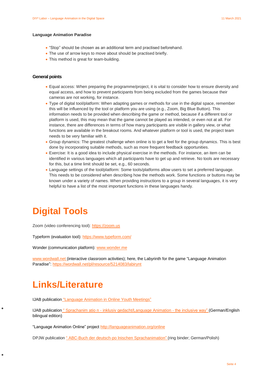#### **Language Animation Paradise**

- "Stop" should be chosen as an additional term and practised beforehand.
- The use of arrow keys to move about should be practised briefly.
- This method is great for team-building.

### **General points**

- Equal access: When preparing the programme/project, it is vital to consider how to ensure diversity and equal access, and how to prevent participants from being excluded from the games because their cameras are not working, for instance.
- Type of digital tool/platform: When adapting games or methods for use in the digital space, remember this will be influenced by the tool or platform you are using (e.g., Zoom, Big Blue Button). This information needs to be provided when describing the game or method, because if a different tool or platform is used, this may mean that the game cannot be played as intended, or even not at all. For instance, there are differences in terms of how many participants are visible in gallery view, or what functions are available in the breakout rooms. And whatever platform or tool is used, the project team needs to be very familiar with it.
- Group dynamics: The greatest challenge when online is to get a feel for the group dynamics. This is best done by incorporating suitable methods, such as more frequent feedback opportunities.
- Exercise: It is a good idea to include physical exercise in the methods. For instance, an item can be identified in various languages which all participants have to get up and retrieve. No tools are necessary for this, but a time limit should be set, e.g., 60 seconds.
- Language settings of the tool/platform: Some tools/platforms allow users to set a preferred language. This needs to be considered when describing how the methods work. Some functions or buttons may be known under a variety of names. When providing instructions to a group in several languages, it is very helpful to have a list of the most important functions in these languages handy.

# **Digital Tools**

Zoom (video conferencing tool): [https://zoom.us](https://zoom.us/)

Typeform (evaluation tool): <https://www.typeform.com/>

Wonder (communication platform): [www.wonder.me](http://www.wonder.me/)

[www.wordwall.net \(](http://www.wordwall.net/)interactive classroom activities); here, the Labyrinth for the game "Language Animation Paradise": <https://wordwall.net/pl/resource/5214083/labirynt>

# **Links/Literature**

IJAB publication ["Language Animation in Online Youth Meetings"](https://ijab.de/bestellservice/language-animation-in-online-youth-meetings)

IJAB publication " Sprachanim atio n - inklusiv [gedacht/Language Animation -](https://ijab.de/bestellservice/sprachanimation-inklusiv-gedacht-language-animation-the-inclusive-way) the inclusive way" (German/English bilingual edition)

"Language Animation Online" project <http://languageanimation.org/online>

DPJW publication " ABC-Buch der deutsch-po lnischen [Sprachanimation"](https://dpjw.org/publikationen/abc-buch-der-deutsch-polnischen-sprachanimation-ringbuch/) (ring binder; German/Polish)